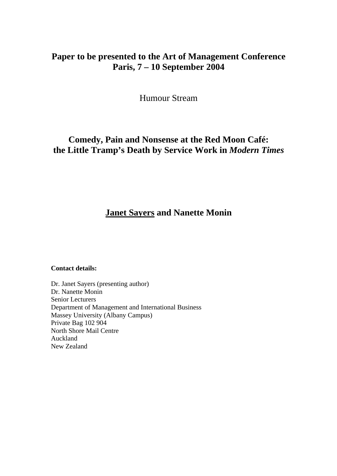# **Paper to be presented to the Art of Management Conference Paris, 7 – 10 September 2004**

Humour Stream

# **Comedy, Pain and Nonsense at the Red Moon Café: the Little Tramp's Death by Service Work in** *Modern Times*

# **Janet Sayers and Nanette Monin**

#### **Contact details:**

Dr. Janet Sayers (presenting author) Dr. Nanette Monin Senior Lecturers Department of Management and International Business Massey University (Albany Campus) Private Bag 102 904 North Shore Mail Centre Auckland New Zealand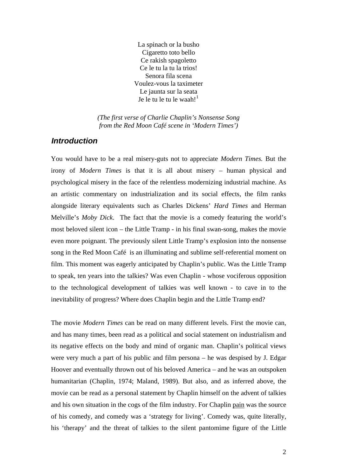La spinach or la busho Cigaretto toto bello Ce rakish spagoletto Ce le tu la tu la trios! Senora fila scena Voulez-vous la taximeter Le jaunta sur la seata Je le tu le tu le waah!

*(The first verse of Charlie Chaplin's Nonsense Song from the Red Moon Café scene in 'Modern Times')* 

## *Introduction*

You would have to be a real misery-guts not to appreciate *Modern Times.* But the irony of *Modern Times* is that it is all about misery – human physical and psychological misery in the face of the relentless modernizing industrial machine. As an artistic commentary on industrialization and its social effects, the film ranks alongside literary equivalents such as Charles Dickens' *Hard Times* and Herman Melville's *Moby Dick*. The fact that the movie is a comedy featuring the world's most beloved silent icon – the Little Tramp - in his final swan-song, makes the movie even more poignant. The previously silent Little Tramp's explosion into the nonsense song in the Red Moon Café is an illuminating and sublime self-referential moment on film. This moment was eagerly anticipated by Chaplin's public. Was the Little Tramp to speak, ten years into the talkies? Was even Chaplin - whose vociferous opposition to the technological development of talkies was well known - to cave in to the inevitability of progress? Where does Chaplin begin and the Little Tramp end?

The movie *Modern Times* can be read on many different levels. First the movie can, and has many times, been read as a political and social statement on industrialism and its negative effects on the body and mind of organic man. Chaplin's political views were very much a part of his public and film persona – he was despised by J. Edgar Hoover and eventually thrown out of his beloved America – and he was an outspoken humanitarian (Chaplin, 1974; Maland, 1989). But also, and as inferred above, the movie can be read as a personal statement by Chaplin himself on the advent of talkies and his own situation in the cogs of the film industry. For Chaplin pain was the source of his comedy, and comedy was a 'strategy for living'. Comedy was, quite literally, his 'therapy' and the threat of talkies to the silent pantomime figure of the Little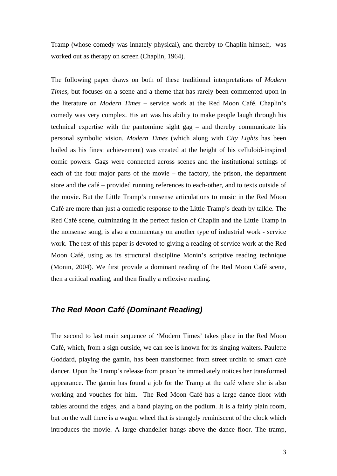Tramp (whose comedy was innately physical), and thereby to Chaplin himself, was worked out as therapy on screen (Chaplin, 1964).

The following paper draws on both of these traditional interpretations of *Modern Times*, but focuses on a scene and a theme that has rarely been commented upon in the literature on *Modern Times* – service work at the Red Moon Café. Chaplin's comedy was very complex. His art was his ability to make people laugh through his technical expertise with the pantomime sight gag – and thereby communicate his personal symbolic vision. *Modern Times* (which along with *City Lights* has been hailed as his finest achievement) was created at the height of his celluloid-inspired comic powers. Gags were connected across scenes and the institutional settings of each of the four major parts of the movie – the factory, the prison, the department store and the café – provided running references to each-other, and to texts outside of the movie. But the Little Tramp's nonsense articulations to music in the Red Moon Café are more than just a comedic response to the Little Tramp's death by talkie. The Red Café scene, culminating in the perfect fusion of Chaplin and the Little Tramp in the nonsense song, is also a commentary on another type of industrial work - service work. The rest of this paper is devoted to giving a reading of service work at the Red Moon Café, using as its structural discipline Monin's scriptive reading technique (Monin, 2004). We first provide a dominant reading of the Red Moon Café scene, then a critical reading, and then finally a reflexive reading.

# *The Red Moon Café (Dominant Reading)*

The second to last main sequence of 'Modern Times' takes place in the Red Moon Café, which, from a sign outside, we can see is known for its singing waiters. Paulette Goddard, playing the gamin, has been transformed from street urchin to smart café dancer. Upon the Tramp's release from prison he immediately notices her transformed appearance. The gamin has found a job for the Tramp at the café where she is also working and vouches for him. The Red Moon Café has a large dance floor with tables around the edges, and a band playing on the podium. It is a fairly plain room, but on the wall there is a wagon wheel that is strangely reminiscent of the clock which introduces the movie. A large chandelier hangs above the dance floor. The tramp,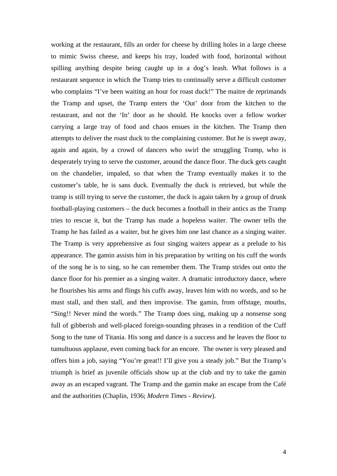working at the restaurant, fills an order for cheese by drilling holes in a large cheese to mimic Swiss cheese, and keeps his tray, loaded with food, horizontal without spilling anything despite being caught up in a dog's leash. What follows is a restaurant sequence in which the Tramp tries to continually serve a difficult customer who complains "I've been waiting an hour for roast duck!" The maitre de reprimands the Tramp and upset, the Tramp enters the 'Out' door from the kitchen to the restaurant, and not the 'In' door as he should. He knocks over a fellow worker carrying a large tray of food and chaos ensues in the kitchen. The Tramp then attempts to deliver the roast duck to the complaining customer. But he is swept away, again and again, by a crowd of dancers who swirl the struggling Tramp, who is desperately trying to serve the customer, around the dance floor. The duck gets caught on the chandelier, impaled, so that when the Tramp eventually makes it to the customer's table, he is sans duck. Eventually the duck is retrieved, but while the tramp is still trying to serve the customer, the duck is again taken by a group of drunk football-playing customers – the duck becomes a football in their antics as the Tramp tries to rescue it, but the Tramp has made a hopeless waiter. The owner tells the Tramp he has failed as a waiter, but he gives him one last chance as a singing waiter. The Tramp is very apprehensive as four singing waiters appear as a prelude to his appearance. The gamin assists him in his preparation by writing on his cuff the words of the song he is to sing, so he can remember them. The Tramp strides out onto the dance floor for his premier as a singing waiter. A dramatic introductory dance, where he flourishes his arms and flings his cuffs away, leaves him with no words, and so he must stall, and then stall, and then improvise. The gamin, from offstage, mouths, "Sing!! Never mind the words." The Tramp does sing, making up a nonsense song full of gibberish and well-placed foreign-sounding phrases in a rendition of the Cuff Song to the tune of Titania. His song and dance is a success and he leaves the floor to tumultuous applause, even coming back for an encore. The owner is very pleased and offers him a job, saying "You're great!! I'll give you a steady job." But the Tramp's triumph is brief as juvenile officials show up at the club and try to take the gamin away as an escaped vagrant. The Tramp and the gamin make an escape from the Café and the authorities (Chaplin, 1936; *Modern Times - Review*).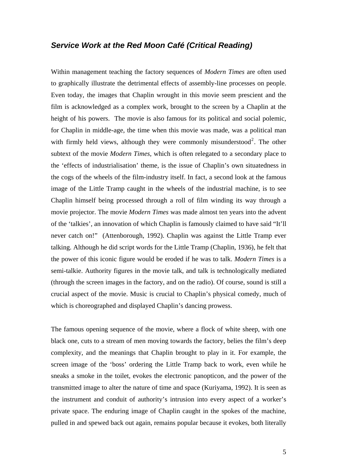## *Service Work at the Red Moon Café (Critical Reading)*

Within management teaching the factory sequences of *Modern Times* are often used to graphically illustrate the detrimental effects of assembly-line processes on people. Even today, the images that Chaplin wrought in this movie seem prescient and the film is acknowledged as a complex work, brought to the screen by a Chaplin at the height of his powers. The movie is also famous for its political and social polemic, for Chaplin in middle-age, the time when this movie was made, was a political man with firmly held views, although they were commonly misunderstood<sup>[2](#page-23-1)</sup>. The other subtext of the movie *Modern Times*, which is often relegated to a secondary place to the 'effects of industrialisation' theme, is the issue of Chaplin's own situatedness in the cogs of the wheels of the film-industry itself. In fact, a second look at the famous image of the Little Tramp caught in the wheels of the industrial machine, is to see Chaplin himself being processed through a roll of film winding its way through a movie projector. The movie *Modern Times* was made almost ten years into the advent of the 'talkies', an innovation of which Chaplin is famously claimed to have said "It'll never catch on!" (Attenborough, 1992). Chaplin was against the Little Tramp ever talking. Although he did script words for the Little Tramp (Chaplin, 1936), he felt that the power of this iconic figure would be eroded if he was to talk. *Modern Times* is a semi-talkie. Authority figures in the movie talk, and talk is technologically mediated (through the screen images in the factory, and on the radio). Of course, sound is still a crucial aspect of the movie. Music is crucial to Chaplin's physical comedy, much of which is choreographed and displayed Chaplin's dancing prowess.

The famous opening sequence of the movie, where a flock of white sheep, with one black one, cuts to a stream of men moving towards the factory, belies the film's deep complexity, and the meanings that Chaplin brought to play in it. For example, the screen image of the 'boss' ordering the Little Tramp back to work, even while he sneaks a smoke in the toilet, evokes the electronic panopticon, and the power of the transmitted image to alter the nature of time and space (Kuriyama, 1992). It is seen as the instrument and conduit of authority's intrusion into every aspect of a worker's private space. The enduring image of Chaplin caught in the spokes of the machine, pulled in and spewed back out again, remains popular because it evokes, both literally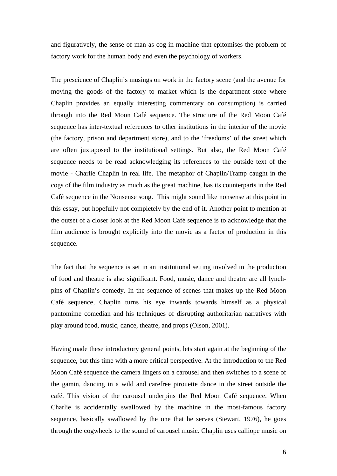and figuratively, the sense of man as cog in machine that epitomises the problem of factory work for the human body and even the psychology of workers.

The prescience of Chaplin's musings on work in the factory scene (and the avenue for moving the goods of the factory to market which is the department store where Chaplin provides an equally interesting commentary on consumption) is carried through into the Red Moon Café sequence. The structure of the Red Moon Café sequence has inter-textual references to other institutions in the interior of the movie (the factory, prison and department store), and to the 'freedoms' of the street which are often juxtaposed to the institutional settings. But also, the Red Moon Café sequence needs to be read acknowledging its references to the outside text of the movie - Charlie Chaplin in real life. The metaphor of Chaplin/Tramp caught in the cogs of the film industry as much as the great machine, has its counterparts in the Red Café sequence in the Nonsense song. This might sound like nonsense at this point in this essay, but hopefully not completely by the end of it. Another point to mention at the outset of a closer look at the Red Moon Café sequence is to acknowledge that the film audience is brought explicitly into the movie as a factor of production in this sequence.

The fact that the sequence is set in an institutional setting involved in the production of food and theatre is also significant. Food, music, dance and theatre are all lynchpins of Chaplin's comedy. In the sequence of scenes that makes up the Red Moon Café sequence, Chaplin turns his eye inwards towards himself as a physical pantomime comedian and his techniques of disrupting authoritarian narratives with play around food, music, dance, theatre, and props (Olson, 2001).

Having made these introductory general points, lets start again at the beginning of the sequence, but this time with a more critical perspective. At the introduction to the Red Moon Café sequence the camera lingers on a carousel and then switches to a scene of the gamin, dancing in a wild and carefree pirouette dance in the street outside the café. This vision of the carousel underpins the Red Moon Café sequence. When Charlie is accidentally swallowed by the machine in the most-famous factory sequence, basically swallowed by the one that he serves (Stewart, 1976), he goes through the cogwheels to the sound of carousel music. Chaplin uses calliope music on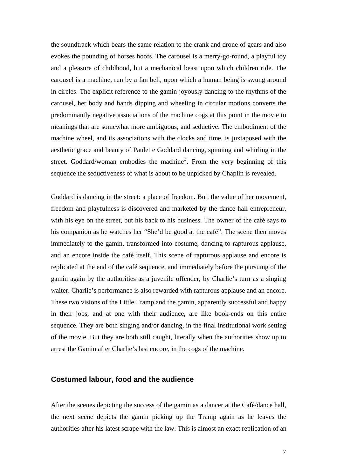the soundtrack which bears the same relation to the crank and drone of gears and also evokes the pounding of horses hoofs. The carousel is a merry-go-round, a playful toy and a pleasure of childhood, but a mechanical beast upon which children ride. The carousel is a machine, run by a fan belt, upon which a human being is swung around in circles. The explicit reference to the gamin joyously dancing to the rhythms of the carousel, her body and hands dipping and wheeling in circular motions converts the predominantly negative associations of the machine cogs at this point in the movie to meanings that are somewhat more ambiguous, and seductive. The embodiment of the machine wheel, and its associations with the clocks and time, is juxtaposed with the aesthetic grace and beauty of Paulette Goddard dancing, spinning and whirling in the street. Goddard/woman embodies the machine<sup>[3](#page-23-1)</sup>. From the very beginning of this sequence the seductiveness of what is about to be unpicked by Chaplin is revealed.

Goddard is dancing in the street: a place of freedom. But, the value of her movement, freedom and playfulness is discovered and marketed by the dance hall entrepreneur, with his eye on the street, but his back to his business. The owner of the café says to his companion as he watches her "She'd be good at the café". The scene then moves immediately to the gamin, transformed into costume, dancing to rapturous applause, and an encore inside the café itself. This scene of rapturous applause and encore is replicated at the end of the café sequence, and immediately before the pursuing of the gamin again by the authorities as a juvenile offender, by Charlie's turn as a singing waiter. Charlie's performance is also rewarded with rapturous applause and an encore. These two visions of the Little Tramp and the gamin, apparently successful and happy in their jobs, and at one with their audience, are like book-ends on this entire sequence. They are both singing and/or dancing, in the final institutional work setting of the movie. But they are both still caught, literally when the authorities show up to arrest the Gamin after Charlie's last encore, in the cogs of the machine.

#### **Costumed labour, food and the audience**

After the scenes depicting the success of the gamin as a dancer at the Café/dance hall, the next scene depicts the gamin picking up the Tramp again as he leaves the authorities after his latest scrape with the law. This is almost an exact replication of an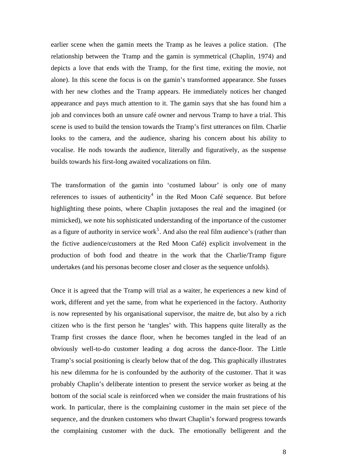earlier scene when the gamin meets the Tramp as he leaves a police station. (The relationship between the Tramp and the gamin is symmetrical (Chaplin, 1974) and depicts a love that ends with the Tramp, for the first time, exiting the movie, not alone). In this scene the focus is on the gamin's transformed appearance. She fusses with her new clothes and the Tramp appears. He immediately notices her changed appearance and pays much attention to it. The gamin says that she has found him a job and convinces both an unsure café owner and nervous Tramp to have a trial. This scene is used to build the tension towards the Tramp's first utterances on film. Charlie looks to the camera, and the audience, sharing his concern about his ability to vocalise. He nods towards the audience, literally and figuratively, as the suspense builds towards his first-long awaited vocalizations on film.

The transformation of the gamin into 'costumed labour' is only one of many references to issues of authenticity<sup>[4](#page-23-1)</sup> in the Red Moon Café sequence. But before highlighting these points, where Chaplin juxtaposes the real and the imagined (or mimicked), we note his sophisticated understanding of the importance of the customer as a figure of authority in service work<sup>[5](#page-23-1)</sup>. And also the real film audience's (rather than the fictive audience/customers at the Red Moon Café) explicit involvement in the production of both food and theatre in the work that the Charlie/Tramp figure undertakes (and his personas become closer and closer as the sequence unfolds).

Once it is agreed that the Tramp will trial as a waiter, he experiences a new kind of work, different and yet the same, from what he experienced in the factory. Authority is now represented by his organisational supervisor, the maitre de, but also by a rich citizen who is the first person he 'tangles' with. This happens quite literally as the Tramp first crosses the dance floor, when he becomes tangled in the lead of an obviously well-to-do customer leading a dog across the dance-floor. The Little Tramp's social positioning is clearly below that of the dog. This graphically illustrates his new dilemma for he is confounded by the authority of the customer. That it was probably Chaplin's deliberate intention to present the service worker as being at the bottom of the social scale is reinforced when we consider the main frustrations of his work. In particular, there is the complaining customer in the main set piece of the sequence, and the drunken customers who thwart Chaplin's forward progress towards the complaining customer with the duck. The emotionally belligerent and the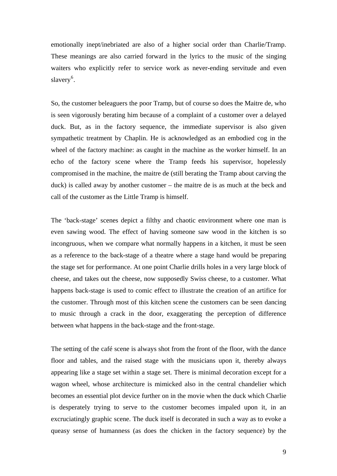emotionally inept/inebriated are also of a higher social order than Charlie/Tramp. These meanings are also carried forward in the lyrics to the music of the singing waiters who explicitly refer to service work as never-ending servitude and even slavery<sup>[6](#page-23-1)</sup>.

So, the customer beleaguers the poor Tramp, but of course so does the Maitre de, who is seen vigorously berating him because of a complaint of a customer over a delayed duck. But, as in the factory sequence, the immediate supervisor is also given sympathetic treatment by Chaplin. He is acknowledged as an embodied cog in the wheel of the factory machine: as caught in the machine as the worker himself. In an echo of the factory scene where the Tramp feeds his supervisor, hopelessly compromised in the machine, the maitre de (still berating the Tramp about carving the duck) is called away by another customer – the maitre de is as much at the beck and call of the customer as the Little Tramp is himself.

The 'back-stage' scenes depict a filthy and chaotic environment where one man is even sawing wood. The effect of having someone saw wood in the kitchen is so incongruous, when we compare what normally happens in a kitchen, it must be seen as a reference to the back-stage of a theatre where a stage hand would be preparing the stage set for performance. At one point Charlie drills holes in a very large block of cheese, and takes out the cheese, now supposedly Swiss cheese, to a customer. What happens back-stage is used to comic effect to illustrate the creation of an artifice for the customer. Through most of this kitchen scene the customers can be seen dancing to music through a crack in the door, exaggerating the perception of difference between what happens in the back-stage and the front-stage.

The setting of the café scene is always shot from the front of the floor, with the dance floor and tables, and the raised stage with the musicians upon it, thereby always appearing like a stage set within a stage set. There is minimal decoration except for a wagon wheel, whose architecture is mimicked also in the central chandelier which becomes an essential plot device further on in the movie when the duck which Charlie is desperately trying to serve to the customer becomes impaled upon it, in an excruciatingly graphic scene. The duck itself is decorated in such a way as to evoke a queasy sense of humanness (as does the chicken in the factory sequence) by the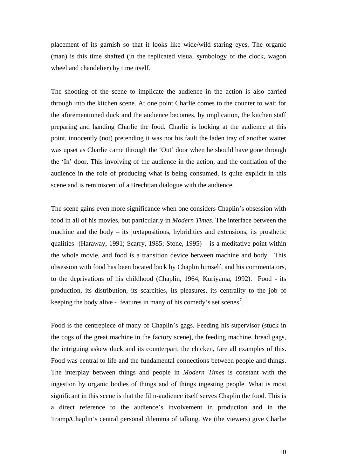placement of its garnish so that it looks like wide/wild staring eyes. The organic (man) is this time shafted (in the replicated visual symbology of the clock, wagon wheel and chandelier) by time itself.

The shooting of the scene to implicate the audience in the action is also carried through into the kitchen scene. At one point Charlie comes to the counter to wait for the aforementioned duck and the audience becomes, by implication, the kitchen staff preparing and handing Charlie the food. Charlie is looking at the audience at this point, innocently (not) pretending it was not his fault the laden tray of another waiter was upset as Charlie came through the 'Out' door when he should have gone through the 'In' door. This involving of the audience in the action, and the conflation of the audience in the role of producing what is being consumed, is quite explicit in this scene and is reminiscent of a Brechtian dialogue with the audience.

The scene gains even more significance when one considers Chaplin's obsession with food in all of his movies, but particularly in *Modern Times*. The interface between the machine and the body – its juxtapositions, hybridities and extensions, its prosthetic qualities (Haraway, 1991; Scarry, 1985; Stone, 1995) – is a meditative point within the whole movie, and food is a transition device between machine and body. This obsession with food has been located back by Chaplin himself, and his commentators, to the deprivations of his childhood (Chaplin, 1964; Kuriyama, 1992). Food - its production, its distribution, its scarcities, its pleasures, its centrality to the job of keeping the body alive - features in many of his comedy's set scenes<sup>[7](#page-23-1)</sup>.

Food is the centrepiece of many of Chaplin's gags. Feeding his supervisor (stuck in the cogs of the great machine in the factory scene), the feeding machine, bread gags, the intriguing askew duck and its counterpart, the chicken, fare all examples of this. Food was central to life and the fundamental connections between people and things. The interplay between things and people in *Modern Times* is constant with the ingestion by organic bodies of things and of things ingesting people. What is most significant in this scene is that the film-audience itself serves Chaplin the food. This is a direct reference to the audience's involvement in production and in the Tramp/Chaplin's central personal dilemma of talking. We (the viewers) give Charlie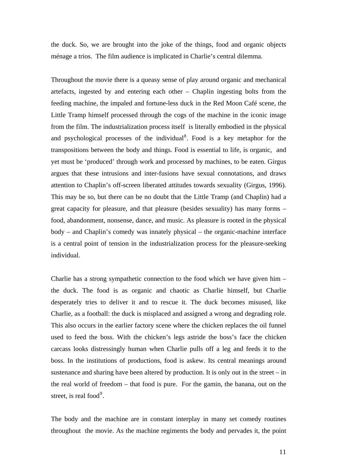the duck. So, we are brought into the joke of the things, food and organic objects ménage a trios. The film audience is implicated in Charlie's central dilemma.

Throughout the movie there is a queasy sense of play around organic and mechanical artefacts, ingested by and entering each other – Chaplin ingesting bolts from the feeding machine, the impaled and fortune-less duck in the Red Moon Café scene, the Little Tramp himself processed through the cogs of the machine in the iconic image from the film. The industrialization process itself is literally embodied in the physical and psychological processes of the individual<sup>[8](#page-23-1)</sup>. Food is a key metaphor for the transpositions between the body and things. Food is essential to life, is organic, and yet must be 'produced' through work and processed by machines, to be eaten. Girgus argues that these intrusions and inter-fusions have sexual connotations, and draws attention to Chaplin's off-screen liberated attitudes towards sexuality (Girgus, 1996). This may be so, but there can be no doubt that the Little Tramp (and Chaplin) had a great capacity for pleasure, and that pleasure (besides sexuality) has many forms – food, abandonment, nonsense, dance, and music. As pleasure is rooted in the physical body – and Chaplin's comedy was innately physical – the organic-machine interface is a central point of tension in the industrialization process for the pleasure-seeking individual.

Charlie has a strong sympathetic connection to the food which we have given him – the duck. The food is as organic and chaotic as Charlie himself, but Charlie desperately tries to deliver it and to rescue it. The duck becomes misused, like Charlie, as a football: the duck is misplaced and assigned a wrong and degrading role. This also occurs in the earlier factory scene where the chicken replaces the oil funnel used to feed the boss. With the chicken's legs astride the boss's face the chicken carcass looks distressingly human when Charlie pulls off a leg and feeds it to the boss. In the institutions of productions, food is askew. Its central meanings around sustenance and sharing have been altered by production. It is only out in the street – in the real world of freedom – that food is pure. For the gamin, the banana, out on the street, is real food $9$ .

The body and the machine are in constant interplay in many set comedy routines throughout the movie. As the machine regiments the body and pervades it, the point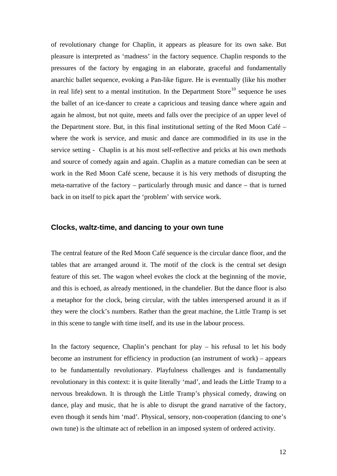of revolutionary change for Chaplin, it appears as pleasure for its own sake. But pleasure is interpreted as 'madness' in the factory sequence. Chaplin responds to the pressures of the factory by engaging in an elaborate, graceful and fundamentally anarchic ballet sequence, evoking a Pan-like figure. He is eventually (like his mother in real life) sent to a mental institution. In the Department Store<sup>[10](#page-23-1)</sup> sequence he uses the ballet of an ice-dancer to create a capricious and teasing dance where again and again he almost, but not quite, meets and falls over the precipice of an upper level of the Department store. But, in this final institutional setting of the Red Moon Café – where the work is service, and music and dance are commodified in its use in the service setting - Chaplin is at his most self-reflective and pricks at his own methods and source of comedy again and again. Chaplin as a mature comedian can be seen at work in the Red Moon Café scene, because it is his very methods of disrupting the meta-narrative of the factory – particularly through music and dance – that is turned back in on itself to pick apart the 'problem' with service work.

#### **Clocks, waltz-time, and dancing to your own tune**

The central feature of the Red Moon Café sequence is the circular dance floor, and the tables that are arranged around it. The motif of the clock is the central set design feature of this set. The wagon wheel evokes the clock at the beginning of the movie, and this is echoed, as already mentioned, in the chandelier. But the dance floor is also a metaphor for the clock, being circular, with the tables interspersed around it as if they were the clock's numbers. Rather than the great machine, the Little Tramp is set in this scene to tangle with time itself, and its use in the labour process.

In the factory sequence, Chaplin's penchant for play – his refusal to let his body become an instrument for efficiency in production (an instrument of work) – appears to be fundamentally revolutionary. Playfulness challenges and is fundamentally revolutionary in this context: it is quite literally 'mad', and leads the Little Tramp to a nervous breakdown. It is through the Little Tramp's physical comedy, drawing on dance, play and music, that he is able to disrupt the grand narrative of the factory, even though it sends him 'mad'. Physical, sensory, non-cooperation (dancing to one's own tune) is the ultimate act of rebellion in an imposed system of ordered activity.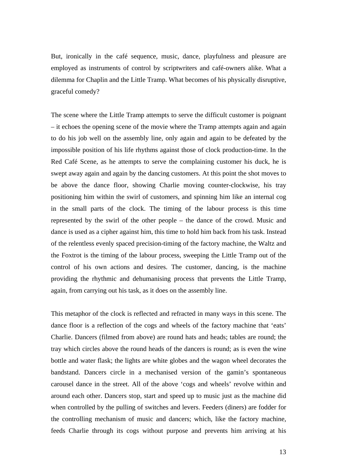But, ironically in the café sequence, music, dance, playfulness and pleasure are employed as instruments of control by scriptwriters and café-owners alike. What a dilemma for Chaplin and the Little Tramp. What becomes of his physically disruptive, graceful comedy?

The scene where the Little Tramp attempts to serve the difficult customer is poignant – it echoes the opening scene of the movie where the Tramp attempts again and again to do his job well on the assembly line, only again and again to be defeated by the impossible position of his life rhythms against those of clock production-time. In the Red Café Scene, as he attempts to serve the complaining customer his duck, he is swept away again and again by the dancing customers. At this point the shot moves to be above the dance floor, showing Charlie moving counter-clockwise, his tray positioning him within the swirl of customers, and spinning him like an internal cog in the small parts of the clock. The timing of the labour process is this time represented by the swirl of the other people – the dance of the crowd. Music and dance is used as a cipher against him, this time to hold him back from his task. Instead of the relentless evenly spaced precision-timing of the factory machine, the Waltz and the Foxtrot is the timing of the labour process, sweeping the Little Tramp out of the control of his own actions and desires. The customer, dancing, is the machine providing the rhythmic and dehumanising process that prevents the Little Tramp, again, from carrying out his task, as it does on the assembly line.

This metaphor of the clock is reflected and refracted in many ways in this scene. The dance floor is a reflection of the cogs and wheels of the factory machine that 'eats' Charlie. Dancers (filmed from above) are round hats and heads; tables are round; the tray which circles above the round heads of the dancers is round; as is even the wine bottle and water flask; the lights are white globes and the wagon wheel decorates the bandstand. Dancers circle in a mechanised version of the gamin's spontaneous carousel dance in the street. All of the above 'cogs and wheels' revolve within and around each other. Dancers stop, start and speed up to music just as the machine did when controlled by the pulling of switches and levers. Feeders (diners) are fodder for the controlling mechanism of music and dancers; which, like the factory machine, feeds Charlie through its cogs without purpose and prevents him arriving at his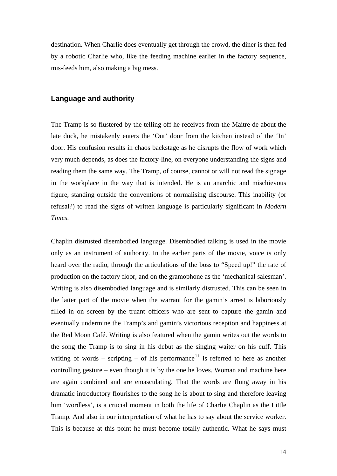destination. When Charlie does eventually get through the crowd, the diner is then fed by a robotic Charlie who, like the feeding machine earlier in the factory sequence, mis-feeds him, also making a big mess.

#### **Language and authority**

The Tramp is so flustered by the telling off he receives from the Maitre de about the late duck, he mistakenly enters the 'Out' door from the kitchen instead of the 'In' door. His confusion results in chaos backstage as he disrupts the flow of work which very much depends, as does the factory-line, on everyone understanding the signs and reading them the same way. The Tramp, of course, cannot or will not read the signage in the workplace in the way that is intended. He is an anarchic and mischievous figure, standing outside the conventions of normalising discourse. This inability (or refusal?) to read the signs of written language is particularly significant in *Modern Times*.

Chaplin distrusted disembodied language. Disembodied talking is used in the movie only as an instrument of authority. In the earlier parts of the movie, voice is only heard over the radio, through the articulations of the boss to "Speed up!" the rate of production on the factory floor, and on the gramophone as the 'mechanical salesman'. Writing is also disembodied language and is similarly distrusted. This can be seen in the latter part of the movie when the warrant for the gamin's arrest is laboriously filled in on screen by the truant officers who are sent to capture the gamin and eventually undermine the Tramp's and gamin's victorious reception and happiness at the Red Moon Café. Writing is also featured when the gamin writes out the words to the song the Tramp is to sing in his debut as the singing waiter on his cuff. This writing of words – scripting – of his performance<sup>[11](#page-23-1)</sup> is referred to here as another controlling gesture – even though it is by the one he loves. Woman and machine here are again combined and are emasculating. That the words are flung away in his dramatic introductory flourishes to the song he is about to sing and therefore leaving him 'wordless', is a crucial moment in both the life of Charlie Chaplin as the Little Tramp. And also in our interpretation of what he has to say about the service worker. This is because at this point he must become totally authentic. What he says must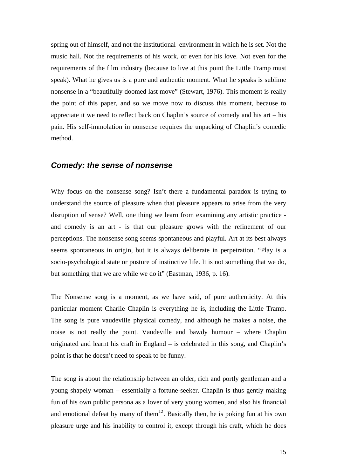spring out of himself, and not the institutional environment in which he is set. Not the music hall. Not the requirements of his work, or even for his love. Not even for the requirements of the film industry (because to live at this point the Little Tramp must speak). What he gives us is a pure and authentic moment. What he speaks is sublime nonsense in a "beautifully doomed last move" (Stewart, 1976). This moment is really the point of this paper, and so we move now to discuss this moment, because to appreciate it we need to reflect back on Chaplin's source of comedy and his art – his pain. His self-immolation in nonsense requires the unpacking of Chaplin's comedic method.

## *Comedy: the sense of nonsense*

Why focus on the nonsense song? Isn't there a fundamental paradox is trying to understand the source of pleasure when that pleasure appears to arise from the very disruption of sense? Well, one thing we learn from examining any artistic practice and comedy is an art - is that our pleasure grows with the refinement of our perceptions. The nonsense song seems spontaneous and playful. Art at its best always seems spontaneous in origin, but it is always deliberate in perpetration. "Play is a socio-psychological state or posture of instinctive life. It is not something that we do, but something that we are while we do it" (Eastman, 1936, p. 16).

The Nonsense song is a moment, as we have said, of pure authenticity. At this particular moment Charlie Chaplin is everything he is, including the Little Tramp. The song is pure vaudeville physical comedy, and although he makes a noise, the noise is not really the point. Vaudeville and bawdy humour – where Chaplin originated and learnt his craft in England – is celebrated in this song, and Chaplin's point is that he doesn't need to speak to be funny.

The song is about the relationship between an older, rich and portly gentleman and a young shapely woman – essentially a fortune-seeker. Chaplin is thus gently making fun of his own public persona as a lover of very young women, and also his financial and emotional defeat by many of them<sup>[12](#page-23-1)</sup>. Basically then, he is poking fun at his own pleasure urge and his inability to control it, except through his craft, which he does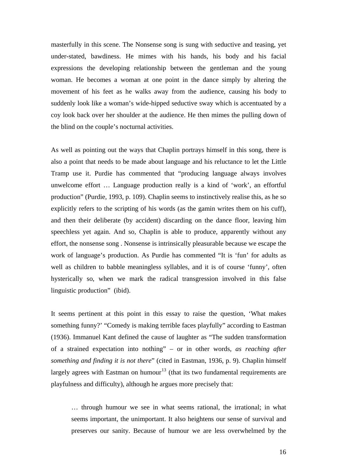masterfully in this scene. The Nonsense song is sung with seductive and teasing, yet under-stated, bawdiness. He mimes with his hands, his body and his facial expressions the developing relationship between the gentleman and the young woman. He becomes a woman at one point in the dance simply by altering the movement of his feet as he walks away from the audience, causing his body to suddenly look like a woman's wide-hipped seductive sway which is accentuated by a coy look back over her shoulder at the audience. He then mimes the pulling down of the blind on the couple's nocturnal activities.

As well as pointing out the ways that Chaplin portrays himself in this song, there is also a point that needs to be made about language and his reluctance to let the Little Tramp use it. Purdie has commented that "producing language always involves unwelcome effort … Language production really is a kind of 'work', an effortful production" (Purdie, 1993, p. 109). Chaplin seems to instinctively realise this, as he so explicitly refers to the scripting of his words (as the gamin writes them on his cuff), and then their deliberate (by accident) discarding on the dance floor, leaving him speechless yet again. And so, Chaplin is able to produce, apparently without any effort, the nonsense song . Nonsense is intrinsically pleasurable because we escape the work of language's production. As Purdie has commented "It is 'fun' for adults as well as children to babble meaningless syllables, and it is of course 'funny', often hysterically so, when we mark the radical transgression involved in this false linguistic production" (ibid).

It seems pertinent at this point in this essay to raise the question, 'What makes something funny?' "Comedy is making terrible faces playfully" according to Eastman (1936). Immanuel Kant defined the cause of laughter as "The sudden transformation of a strained expectation into nothing" – or in other words, *as reaching after something and finding it is not there*" (cited in Eastman, 1936, p. 9). Chaplin himself largely agrees with Eastman on humour<sup>[13](#page-23-1)</sup> (that its two fundamental requirements are playfulness and difficulty), although he argues more precisely that:

… through humour we see in what seems rational, the irrational; in what seems important, the unimportant. It also heightens our sense of survival and preserves our sanity. Because of humour we are less overwhelmed by the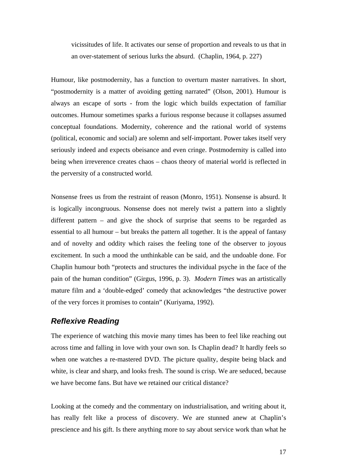vicissitudes of life. It activates our sense of proportion and reveals to us that in an over-statement of serious lurks the absurd. (Chaplin, 1964, p. 227)

Humour, like postmodernity, has a function to overturn master narratives. In short, "postmodernity is a matter of avoiding getting narrated" (Olson, 2001). Humour is always an escape of sorts - from the logic which builds expectation of familiar outcomes. Humour sometimes sparks a furious response because it collapses assumed conceptual foundations. Modernity, coherence and the rational world of systems (political, economic and social) are solemn and self-important. Power takes itself very seriously indeed and expects obeisance and even cringe. Postmodernity is called into being when irreverence creates chaos – chaos theory of material world is reflected in the perversity of a constructed world.

Nonsense frees us from the restraint of reason (Monro, 1951). Nonsense is absurd. It is logically incongruous. Nonsense does not merely twist a pattern into a slightly different pattern – and give the shock of surprise that seems to be regarded as essential to all humour – but breaks the pattern all together. It is the appeal of fantasy and of novelty and oddity which raises the feeling tone of the observer to joyous excitement. In such a mood the unthinkable can be said, and the undoable done. For Chaplin humour both "protects and structures the individual psyche in the face of the pain of the human condition" (Girgus, 1996, p. 3). *Modern Times* was an artistically mature film and a 'double-edged' comedy that acknowledges "the destructive power of the very forces it promises to contain" (Kuriyama, 1992).

# *Reflexive Reading*

The experience of watching this movie many times has been to feel like reaching out across time and falling in love with your own son. Is Chaplin dead? It hardly feels so when one watches a re-mastered DVD. The picture quality, despite being black and white, is clear and sharp, and looks fresh. The sound is crisp. We are seduced, because we have become fans. But have we retained our critical distance?

Looking at the comedy and the commentary on industrialisation, and writing about it, has really felt like a process of discovery. We are stunned anew at Chaplin's prescience and his gift. Is there anything more to say about service work than what he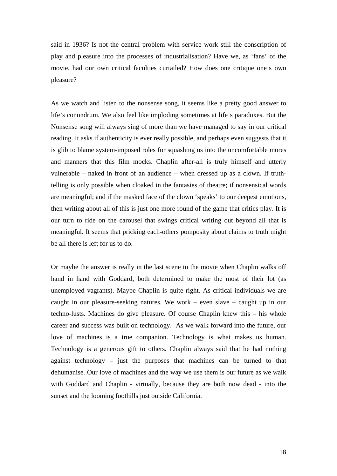said in 1936? Is not the central problem with service work still the conscription of play and pleasure into the processes of industrialisation? Have we, as 'fans' of the movie, had our own critical faculties curtailed? How does one critique one's own pleasure?

As we watch and listen to the nonsense song, it seems like a pretty good answer to life's conundrum. We also feel like imploding sometimes at life's paradoxes. But the Nonsense song will always sing of more than we have managed to say in our critical reading. It asks if authenticity is ever really possible, and perhaps even suggests that it is glib to blame system-imposed roles for squashing us into the uncomfortable mores and manners that this film mocks. Chaplin after-all is truly himself and utterly vulnerable – naked in front of an audience – when dressed up as a clown. If truthtelling is only possible when cloaked in the fantasies of theatre; if nonsensical words are meaningful; and if the masked face of the clown 'speaks' to our deepest emotions, then writing about all of this is just one more round of the game that critics play. It is our turn to ride on the carousel that swings critical writing out beyond all that is meaningful. It seems that pricking each-others pomposity about claims to truth might be all there is left for us to do.

Or maybe the answer is really in the last scene to the movie when Chaplin walks off hand in hand with Goddard, both determined to make the most of their lot (as unemployed vagrants). Maybe Chaplin is quite right. As critical individuals we are caught in our pleasure-seeking natures. We work – even slave – caught up in our techno-lusts. Machines do give pleasure. Of course Chaplin knew this – his whole career and success was built on technology. As we walk forward into the future, our love of machines is a true companion. Technology is what makes us human. Technology is a generous gift to others. Chaplin always said that he had nothing against technology – just the purposes that machines can be turned to that dehumanise. Our love of machines and the way we use them is our future as we walk with Goddard and Chaplin - virtually, because they are both now dead - into the sunset and the looming foothills just outside California.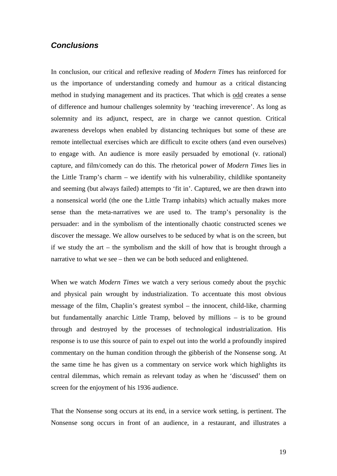# *Conclusions*

In conclusion, our critical and reflexive reading of *Modern Times* has reinforced for us the importance of understanding comedy and humour as a critical distancing method in studying management and its practices. That which is odd creates a sense of difference and humour challenges solemnity by 'teaching irreverence'. As long as solemnity and its adjunct, respect, are in charge we cannot question. Critical awareness develops when enabled by distancing techniques but some of these are remote intellectual exercises which are difficult to excite others (and even ourselves) to engage with. An audience is more easily persuaded by emotional (v. rational) capture, and film/comedy can do this. The rhetorical power of *Modern Times* lies in the Little Tramp's charm – we identify with his vulnerability, childlike spontaneity and seeming (but always failed) attempts to 'fit in'. Captured, we are then drawn into a nonsensical world (the one the Little Tramp inhabits) which actually makes more sense than the meta-narratives we are used to. The tramp's personality is the persuader: and in the symbolism of the intentionally chaotic constructed scenes we discover the message. We allow ourselves to be seduced by what is on the screen, but if we study the art – the symbolism and the skill of how that is brought through a narrative to what we see – then we can be both seduced and enlightened.

When we watch *Modern Times* we watch a very serious comedy about the psychic and physical pain wrought by industrialization. To accentuate this most obvious message of the film, Chaplin's greatest symbol – the innocent, child-like, charming but fundamentally anarchic Little Tramp, beloved by millions – is to be ground through and destroyed by the processes of technological industrialization. His response is to use this source of pain to expel out into the world a profoundly inspired commentary on the human condition through the gibberish of the Nonsense song. At the same time he has given us a commentary on service work which highlights its central dilemmas, which remain as relevant today as when he 'discussed' them on screen for the enjoyment of his 1936 audience.

That the Nonsense song occurs at its end, in a service work setting, is pertinent. The Nonsense song occurs in front of an audience, in a restaurant, and illustrates a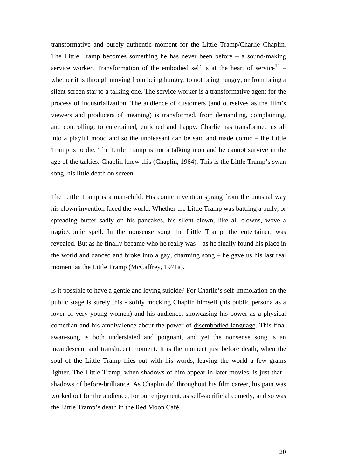transformative and purely authentic moment for the Little Tramp/Charlie Chaplin. The Little Tramp becomes something he has never been before – a sound-making service worker. Transformation of the embodied self is at the heart of service<sup>[14](#page-23-1)</sup> – whether it is through moving from being hungry, to not being hungry, or from being a silent screen star to a talking one. The service worker is a transformative agent for the process of industrialization. The audience of customers (and ourselves as the film's viewers and producers of meaning) is transformed, from demanding, complaining, and controlling, to entertained, enriched and happy. Charlie has transformed us all into a playful mood and so the unpleasant can be said and made comic – the Little Tramp is to die. The Little Tramp is not a talking icon and he cannot survive in the age of the talkies. Chaplin knew this (Chaplin, 1964). This is the Little Tramp's swan song, his little death on screen.

The Little Tramp is a man-child. His comic invention sprang from the unusual way his clown invention faced the world. Whether the Little Tramp was battling a bully, or spreading butter sadly on his pancakes, his silent clown, like all clowns, wove a tragic/comic spell. In the nonsense song the Little Tramp, the entertainer, was revealed. But as he finally became who he really was – as he finally found his place in the world and danced and broke into a gay, charming song – he gave us his last real moment as the Little Tramp (McCaffrey, 1971a).

Is it possible to have a gentle and loving suicide? For Charlie's self-immolation on the public stage is surely this - softly mocking Chaplin himself (his public persona as a lover of very young women) and his audience, showcasing his power as a physical comedian and his ambivalence about the power of disembodied language. This final swan-song is both understated and poignant, and yet the nonsense song is an incandescent and translucent moment. It is the moment just before death, when the soul of the Little Tramp flies out with his words, leaving the world a few grams lighter. The Little Tramp, when shadows of him appear in later movies, is just that shadows of before-brilliance. As Chaplin did throughout his film career, his pain was worked out for the audience, for our enjoyment, as self-sacrificial comedy, and so was the Little Tramp's death in the Red Moon Café.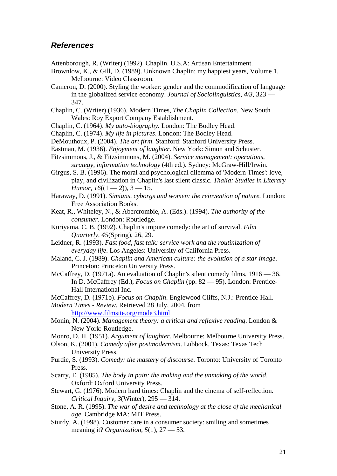#### *References*

- Attenborough, R. (Writer) (1992). Chaplin. U.S.A: Artisan Entertainment.
- Brownlow, K., & Gill, D. (1989). Unknown Chaplin: my happiest years, Volume 1. Melbourne: Video Classroom.
- Cameron, D. (2000). Styling the worker: gender and the commodification of language in the globalized service economy. *Journal of Sociolinguistics, 4/3*, 323 — 347.
- Chaplin, C. (Writer) (1936). Modern Times, *The Chaplin Collection*. New South Wales: Roy Export Company Establishment.
- Chaplin, C. (1964). *My auto-biography.* London: The Bodley Head.
- Chaplin, C. (1974). *My life in pictures*. London: The Bodley Head.
- DeMouthoux, P. (2004). *The art firm*. Stanford: Stanford University Press.
- Eastman, M. (1936). *Enjoyment of laughter*. New York: Simon and Schuster.
- Fitzsimmons, J., & Fitzsimmons, M. (2004). *Service management: operations, strategy, information technology* (4th ed.). Sydney: McGraw-Hill/Irwin.
- Girgus, S. B. (1996). The moral and psychological dilemma of 'Modern Times': love, play, and civilization in Chaplin's last silent classic. *Thalia: Studies in Literary Humor,*  $16((1 - 2))$ ,  $3 - 15$ .
- Haraway, D. (1991). *Simians, cyborgs and women: the reinvention of nature.* London: Free Association Books.
- Keat, R., Whiteley, N., & Abercrombie, A. (Eds.). (1994). *The authority of the consumer*. London: Routledge.
- Kuriyama, C. B. (1992). Chaplin's impure comedy: the art of survival. *Film Quarterly, 45*(Spring), 26, 29.
- Leidner, R. (1993). *Fast food, fast talk: service work and the routinization of everyday life*. Los Angeles: University of California Press.
- Maland, C. J. (1989). *Chaplin and American culture: the evolution of a star image*. Princeton: Princeton University Press.
- McCaffrey, D. (1971a). An evaluation of Chaplin's silent comedy films, 1916 36. In D. McCaffrey (Ed.), *Focus on Chaplin* (pp. 82 — 95). London: Prentice-Hall International Inc.
- McCaffrey, D. (1971b). *Focus on Chaplin*. Englewood Cliffs, N.J.: Prentice-Hall.

*Modern Times - Review*. Retrieved 28 July, 2004, from <http://www.filmsite.org/mode3.html>

- Monin, N. (2004). *Management theory: a critical and reflexive reading*. London & New York: Routledge.
- Monro, D. H. (1951). *Argument of laughter*. Melbourne: Melbourne University Press.
- Olson, K. (2001). *Comedy after postmodernism*. Lubbock, Texas: Texas Tech University Press.
- Purdie, S. (1993). *Comedy: the mastery of discourse*. Toronto: University of Toronto Press.
- Scarry, E. (1985). *The body in pain: the making and the unmaking of the world*. Oxford: Oxford University Press.
- Stewart, G. (1976). Modern hard times: Chaplin and the cinema of self-reflection. *Critical Inquiry, 3*(Winter), 295 — 314.
- Stone, A. R. (1995). *The war of desire and technology at the close of the mechanical age*. Cambridge MA: MIT Press.
- Sturdy, A. (1998). Customer care in a consumer society: smiling and sometimes meaning it? *Organization, 5*(1), 27 — 53.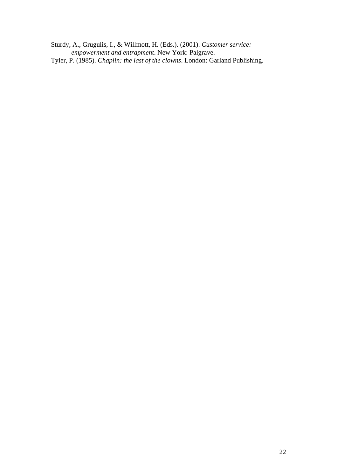Sturdy, A., Grugulis, I., & Willmott, H. (Eds.). (2001). *Customer service: empowerment and entrapment*. New York: Palgrave. Tyler, P. (1985). *Chaplin: the last of the clowns*. London: Garland Publishing.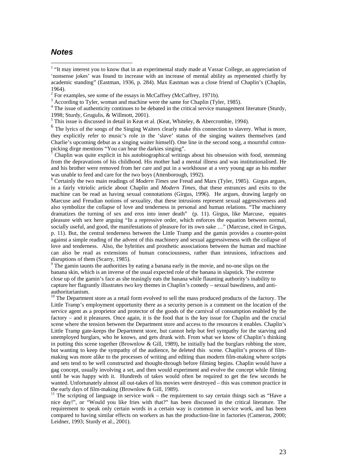# *Notes*

 $\overline{a}$ 

<sup>4</sup> The issue of authenticity continues to be debated in the critical service management literature (Sturdy, 1998; Sturdy, Grugulis, & Willmott, 2001).

<sup>6</sup> The lyrics of the songs of the Singing Waiters clearly make this connection to slavery. What is more, they explicitly refer to music's role in the 'slave' status of the singing waiters themselves (and Charlie's upcoming debut as a singing waiter himself). One line in the second song, a mournful cottonpicking dirge mentions "You can hear the darkies singing".

7 Chaplin was quite explicit in his autobiographical writings about his obsession with food, stemming from the depravations of his childhood. His mother had a mental illness and was institutionalised. He and his brother were removed from her care and put in a workhouse at a very young age as his mother was unable to feed and care for the two boys (Attenborough, 1992).

<sup>8</sup> Certainly the two main readings of *Modern Times* use Freud and Marx (Tyler, 1985). Girgus argues, in a fairly vitriolic article about Chaplin and *Modern Times*, that these entrances and exits to the machine can be read as having sexual connotations (Girgus, 1996). He argues, drawing largely on Marcuse and Freudian notions of sexuality, that these intrusions represent sexual aggressiveness and also symbolize the collapse of love and tenderness in personal and human relations. "The machinery dramatizes the turning of sex and eros into inner death" (p. 11). Girgus, like Marcuse, equates pleasure with sex here arguing "In a repressive order, which enforces the equation between normal, socially useful, and good, the manifestations of pleasure for its own sake …" (Marcuse, cited in Girgus, p. 11). But, the central tenderness between the Little Tramp and the gamin provides a counter-point against a simple reading of the advent of this machinery and sexual aggressiveness with the collapse of love and tenderness. Also, the hybrities and prosthetic associations between the human and machine can also be read as extensions of human consciousness, rather than intrusions, infractions and disruptions of them (Scarry, 1985).

<sup>9</sup> The gamin taunts the authorities by eating a banana early in the movie, and no-one slips on the banana skin, which is an inverse of the usual expected role of the banana in slapstick. The extreme close up of the gamin's face as she teasingly eats the banana while flaunting authority's inability to capture her flagrantly illustrates two key themes in Chaplin's comedy – sexual bawdiness, and antiauthoritarianism.

<sup>10</sup> The Department store as a retail form evolved to sell the mass produced products of the factory. The Little Tramp's employment opportunity there as a security person is a comment on the location of the service agent as a proprietor and protector of the goods of the carnival of consumption enabled by the factory – and it pleasures. Once again, it is the food that is the key issue for Chaplin and the crucial scene where the tension between the Department store and access to the resources it enables. Chaplin's Little Tramp gate-keeps the Department store, but cannot help but feel sympathy for the starving and unemployed burglars, who he knows, and gets drunk with. From what we know of Chaplin's thinking in putting this scene together (Brownlow  $\&$  Gill, 1989), he initially had the burglars robbing the store, but wanting to keep the sympathy of the audience, he deleted this scene. Chaplin's process of filmmaking was more alike to the processes of writing and editing than modern film-making where scripts and sets tend to be well constructed and thought-through before filming begins. Chaplin would have a gag concept, usually involving a set, and then would experiment and evolve the concept while filming until he was happy with it. Hundreds of takes would often be required to get the few seconds he wanted. Unfortunately almost all out-takes of his movies were destroyed – this was common practice in the early days of film-making (Brownlow & Gill, 1989).

 $11$  The scripting of language in service work – the requirement to say certain things such as "Have a nice day!", or "Would you like fries with that?" has been discussed in the critical literature. The requirement to speak only certain words in a certain way is common in service work, and has been compared to having similar effects on workers as has the production-line in factories (Cameron, 2000; Leidner, 1993; Sturdy et al., 2001).

<sup>&</sup>lt;sup>1</sup> "It may interest you to know that in an experimental study made at Vassar College, an appreciation of 'nonsense jokes' was found to increase with an increase of mental ability as represented chiefly by academic standing" (Eastman, 1936, p. 284). Max Eastman was a close friend of Chaplin's (Chaplin, 1964).

 $2^2$  For examples, see some of the essays in McCaffrey (McCaffrey, 1971b).

 $3$  According to Tyler, woman and machine were the same for Chaplin (Tyler, 1985).

 $<sup>5</sup>$  This issue is discussed in detail in Keat et al. (Keat, Whiteley, & Abercrombie, 1994).</sup>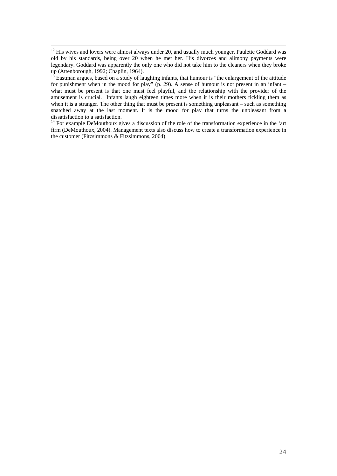<span id="page-23-0"></span> $13$  Eastman argues, based on a study of laughing infants, that humour is "the enlargement of the attitude for punishment when in the mood for play" (p. 29). A sense of humour is not present in an infant – what must be present is that one must feel playful, and the relationship with the provider of the amusement is crucial. Infants laugh eighteen times more when it is their mothers tickling them as when it is a stranger. The other thing that must be present is something unpleasant – such as something snatched away at the last moment. It is the mood for play that turns the unpleasant from a dissatisfaction to a satisfaction.

<sup>14</sup> For example DeMouthoux gives a discussion of the role of the transformation experience in the 'art firm (DeMouthoux, 2004). Management texts also discuss how to create a transformation experience in the customer (Fitzsimmons & Fitzsimmons, 2004).

<span id="page-23-1"></span><sup>&</sup>lt;sup>12</sup> His wives and lovers were almost always under 20, and usually much younger. Paulette Goddard was old by his standards, being over 20 when he met her. His divorces and alimony payments were legendary. Goddard was apparently the only one who did not take him to the cleaners when they broke up (Attenborough, 1992; Chaplin, 1964).